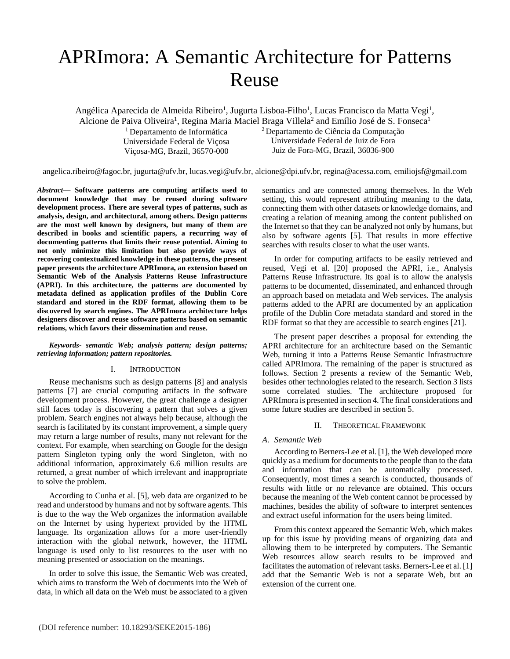# APRImora: A Semantic Architecture for Patterns Reuse

Angélica Aparecida de Almeida Ribeiro<sup>1</sup>, Jugurta Lisboa-Filho<sup>1</sup>, Lucas Francisco da Matta Vegi<sup>1</sup>,

Alcione de Paiva Oliveira<sup>1</sup>, Regina Maria Maciel Braga Villela<sup>2</sup> and Emílio José de S. Fonseca<sup>1</sup>

<sup>1</sup> Departamento de Informática Universidade Federal de Viçosa Viçosa-MG, Brazil, 36570-000

<sup>2</sup>Departamento de Ciência da Computação Universidade Federal de Juiz de Fora Juiz de Fora-MG, Brazil, 36036-900

angelica.ribeiro@fagoc.br, jugurta@ufv.br, lucas.vegi@ufv.br, alcione@dpi.ufv.br, regina@acessa.com, emiliojsf@gmail.com

*Abstract***— Software patterns are computing artifacts used to document knowledge that may be reused during software development process. There are several types of patterns, such as analysis, design, and architectural, among others. Design patterns are the most well known by designers, but many of them are described in books and scientific papers, a recurring way of documenting patterns that limits their reuse potential. Aiming to not only minimize this limitation but also provide ways of recovering contextualized knowledge in these patterns, the present paper presents the architecture APRImora, an extension based on Semantic Web of the Analysis Patterns Reuse Infrastructure (APRI). In this architecture, the patterns are documented by metadata defined as application profiles of the Dublin Core standard and stored in the RDF format, allowing them to be discovered by search engines. The APRImora architecture helps designers discover and reuse software patterns based on semantic relations, which favors their dissemination and reuse.**

## *Keywords- semantic Web; analysis pattern; design patterns; retrieving information; pattern repositories.*

# I. INTRODUCTION

Reuse mechanisms such as design patterns [8] and analysis patterns [7] are crucial computing artifacts in the software development process. However, the great challenge a designer still faces today is discovering a pattern that solves a given problem. Search engines not always help because, although the search is facilitated by its constant improvement, a simple query may return a large number of results, many not relevant for the context. For example, when searching on Google for the design pattern Singleton typing only the word Singleton, with no additional information, approximately 6.6 million results are returned, a great number of which irrelevant and inappropriate to solve the problem.

According to Cunha et al. [5], web data are organized to be read and understood by humans and not by software agents. This is due to the way the Web organizes the information available on the Internet by using hypertext provided by the HTML language. Its organization allows for a more user-friendly interaction with the global network, however, the HTML language is used only to list resources to the user with no meaning presented or association on the meanings.

In order to solve this issue, the Semantic Web was created, which aims to transform the Web of documents into the Web of data, in which all data on the Web must be associated to a given

semantics and are connected among themselves. In the Web setting, this would represent attributing meaning to the data, connecting them with other datasets or knowledge domains, and creating a relation of meaning among the content published on the Internet so that they can be analyzed not only by humans, but also by software agents [5]. That results in more effective searches with results closer to what the user wants.

In order for computing artifacts to be easily retrieved and reused, Vegi et al. [20] proposed the APRI, i.e., Analysis Patterns Reuse Infrastructure. Its goal is to allow the analysis patterns to be documented, disseminated, and enhanced through an approach based on metadata and Web services. The analysis patterns added to the APRI are documented by an application profile of the Dublin Core metadata standard and stored in the RDF format so that they are accessible to search engines [21].

The present paper describes a proposal for extending the APRI architecture for an architecture based on the Semantic Web, turning it into a Patterns Reuse Semantic Infrastructure called APRImora. The remaining of the paper is structured as follows. Section 2 presents a review of the Semantic Web, besides other technologies related to the research. Section 3 lists some correlated studies. The architecture proposed for APRImora is presented in section 4. The final considerations and some future studies are described in section 5.

# II. THEORETICAL FRAMEWORK

# *A. Semantic Web*

According to Berners-Lee et al. [1], the Web developed more quickly as a medium for documents to the people than to the data and information that can be automatically processed. Consequently, most times a search is conducted, thousands of results with little or no relevance are obtained. This occurs because the meaning of the Web content cannot be processed by machines, besides the ability of software to interpret sentences and extract useful information for the users being limited.

From this context appeared the Semantic Web, which makes up for this issue by providing means of organizing data and allowing them to be interpreted by computers. The Semantic Web resources allow search results to be improved and facilitates the automation of relevant tasks. Berners-Lee et al. [1] add that the Semantic Web is not a separate Web, but an extension of the current one.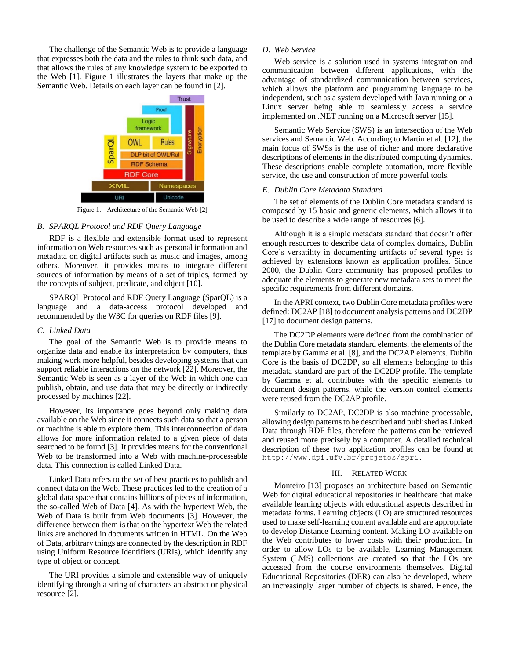The challenge of the Semantic Web is to provide a language that expresses both the data and the rules to think such data, and that allows the rules of any knowledge system to be exported to the Web [1]. Figure 1 illustrates the layers that make up the Semantic Web. Details on each layer can be found in [2].



Figure 1. Architecture of the Semantic Web [2]

## *B. SPARQL Protocol and RDF Query Language*

RDF is a flexible and extensible format used to represent information on Web resources such as personal information and metadata on digital artifacts such as music and images, among others. Moreover, it provides means to integrate different sources of information by means of a set of triples, formed by the concepts of subject, predicate, and object [10].

SPARQL Protocol and RDF Query Language (SparQL) is a language and a data-access protocol developed and recommended by the W3C for queries on RDF files [9].

## *C. Linked Data*

The goal of the Semantic Web is to provide means to organize data and enable its interpretation by computers, thus making work more helpful, besides developing systems that can support reliable interactions on the network [22]. Moreover, the Semantic Web is seen as a layer of the Web in which one can publish, obtain, and use data that may be directly or indirectly processed by machines [22].

However, its importance goes beyond only making data available on the Web since it connects such data so that a person or machine is able to explore them. This interconnection of data allows for more information related to a given piece of data searched to be found [3]. It provides means for the conventional Web to be transformed into a Web with machine-processable data. This connection is called Linked Data.

Linked Data refers to the set of best practices to publish and connect data on the Web. These practices led to the creation of a global data space that contains billions of pieces of information, the so-called Web of Data [4]. As with the hypertext Web, the Web of Data is built from Web documents [3]. However, the difference between them is that on the hypertext Web the related links are anchored in documents written in HTML. On the Web of Data, arbitrary things are connected by the description in RDF using Uniform Resource Identifiers (URIs), which identify any type of object or concept.

The URI provides a simple and extensible way of uniquely identifying through a string of characters an abstract or physical resource [2].

## *D. Web Service*

Web service is a solution used in systems integration and communication between different applications, with the advantage of standardized communication between services, which allows the platform and programming language to be independent, such as a system developed with Java running on a Linux server being able to seamlessly access a service implemented on .NET running on a Microsoft server [15].

Semantic Web Service (SWS) is an intersection of the Web services and Semantic Web. According to Martin et al. [12], the main focus of SWSs is the use of richer and more declarative descriptions of elements in the distributed computing dynamics. These descriptions enable complete automation, more flexible service, the use and construction of more powerful tools.

#### *E. Dublin Core Metadata Standard*

The set of elements of the Dublin Core metadata standard is composed by 15 basic and generic elements, which allows it to be used to describe a wide range of resources [6].

Although it is a simple metadata standard that doesn't offer enough resources to describe data of complex domains, Dublin Core's versatility in documenting artifacts of several types is achieved by extensions known as application profiles. Since 2000, the Dublin Core community has proposed profiles to adequate the elements to generate new metadata sets to meet the specific requirements from different domains.

In the APRI context, two Dublin Core metadata profiles were defined: DC2AP [18] to document analysis patterns and DC2DP [17] to document design patterns.

The DC2DP elements were defined from the combination of the Dublin Core metadata standard elements, the elements of the template by Gamma et al. [8], and the DC2AP elements. Dublin Core is the basis of DC2DP, so all elements belonging to this metadata standard are part of the DC2DP profile. The template by Gamma et al. contributes with the specific elements to document design patterns, while the version control elements were reused from the DC2AP profile.

Similarly to DC2AP, DC2DP is also machine processable, allowing design patterns to be described and published as Linked Data through RDF files, therefore the patterns can be retrieved and reused more precisely by a computer. A detailed technical description of these two application profiles can be found at http://www.dpi.ufv.br/projetos/apri.

#### III. RELATED WORK

Monteiro [13] proposes an architecture based on Semantic Web for digital educational repositories in healthcare that make available learning objects with educational aspects described in metadata forms. Learning objects (LO) are structured resources used to make self-learning content available and are appropriate to develop Distance Learning content. Making LO available on the Web contributes to lower costs with their production. In order to allow LOs to be available, Learning Management System (LMS) collections are created so that the LOs are accessed from the course environments themselves. Digital Educational Repositories (DER) can also be developed, where an increasingly larger number of objects is shared. Hence, the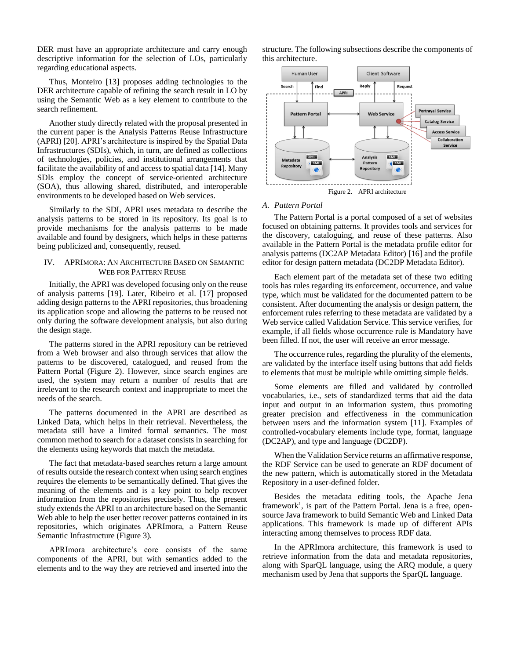DER must have an appropriate architecture and carry enough descriptive information for the selection of LOs, particularly regarding educational aspects.

Thus, Monteiro [13] proposes adding technologies to the DER architecture capable of refining the search result in LO by using the Semantic Web as a key element to contribute to the search refinement.

Another study directly related with the proposal presented in the current paper is the Analysis Patterns Reuse Infrastructure (APRI) [20]. APRI's architecture is inspired by the Spatial Data Infrastructures (SDIs), which, in turn, are defined as collections of technologies, policies, and institutional arrangements that facilitate the availability of and access to spatial data [14]. Many SDIs employ the concept of service-oriented architecture (SOA), thus allowing shared, distributed, and interoperable environments to be developed based on Web services.

Similarly to the SDI, APRI uses metadata to describe the analysis patterns to be stored in its repository. Its goal is to provide mechanisms for the analysis patterns to be made available and found by designers, which helps in these patterns being publicized and, consequently, reused.

## IV. APRIMORA: AN ARCHITECTURE BASED ON SEMANTIC WEB FOR PATTERN REUSE

Initially, the APRI was developed focusing only on the reuse of analysis patterns [19]. Later, Ribeiro et al. [17] proposed adding design patterns to the APRI repositories, thus broadening its application scope and allowing the patterns to be reused not only during the software development analysis, but also during the design stage.

The patterns stored in the APRI repository can be retrieved from a Web browser and also through services that allow the patterns to be discovered, catalogued, and reused from the Pattern Portal (Figure 2). However, since search engines are used, the system may return a number of results that are irrelevant to the research context and inappropriate to meet the needs of the search.

The patterns documented in the APRI are described as Linked Data, which helps in their retrieval. Nevertheless, the metadata still have a limited formal semantics. The most common method to search for a dataset consists in searching for the elements using keywords that match the metadata.

The fact that metadata-based searches return a large amount of results outside the research context when using search engines requires the elements to be semantically defined. That gives the meaning of the elements and is a key point to help recover information from the repositories precisely. Thus, the present study extends the APRI to an architecture based on the Semantic Web able to help the user better recover patterns contained in its repositories, which originates APRImora, a Pattern Reuse Semantic Infrastructure (Figure 3).

APRImora architecture's core consists of the same components of the APRI, but with semantics added to the elements and to the way they are retrieved and inserted into the structure. The following subsections describe the components of this architecture.



#### *A. Pattern Portal*

The Pattern Portal is a portal composed of a set of websites focused on obtaining patterns. It provides tools and services for the discovery, cataloguing, and reuse of these patterns. Also available in the Pattern Portal is the metadata profile editor for analysis patterns (DC2AP Metadata Editor) [16] and the profile editor for design pattern metadata (DC2DP Metadata Editor).

Each element part of the metadata set of these two editing tools has rules regarding its enforcement, occurrence, and value type, which must be validated for the documented pattern to be consistent. After documenting the analysis or design pattern, the enforcement rules referring to these metadata are validated by a Web service called Validation Service. This service verifies, for example, if all fields whose occurrence rule is Mandatory have been filled. If not, the user will receive an error message.

The occurrence rules, regarding the plurality of the elements, are validated by the interface itself using buttons that add fields to elements that must be multiple while omitting simple fields.

Some elements are filled and validated by controlled vocabularies, i.e., sets of standardized terms that aid the data input and output in an information system, thus promoting greater precision and effectiveness in the communication between users and the information system [11]. Examples of controlled-vocabulary elements include type, format, language (DC2AP), and type and language (DC2DP).

When the Validation Service returns an affirmative response, the RDF Service can be used to generate an RDF document of the new pattern, which is automatically stored in the Metadata Repository in a user-defined folder.

Besides the metadata editing tools, the Apache Jena framework<sup>1</sup>, is part of the Pattern Portal. Jena is a free, opensource Java framework to build Semantic Web and Linked Data applications. This framework is made up of different APIs interacting among themselves to process RDF data.

In the APRImora architecture, this framework is used to retrieve information from the data and metadata repositories, along with SparQL language, using the ARQ module, a query mechanism used by Jena that supports the SparQL language.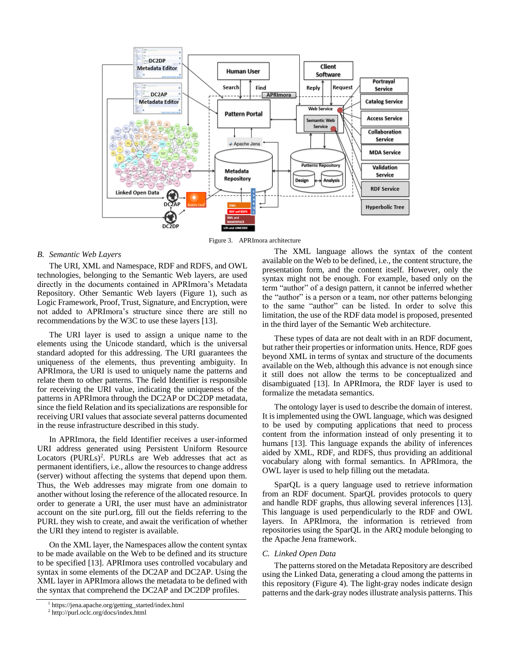

Figure 3. APRImora architecture

#### *B. Semantic Web Layers*

The URI, XML and Namespace, RDF and RDFS, and OWL technologies, belonging to the Semantic Web layers, are used directly in the documents contained in APRImora's Metadata Repository. Other Semantic Web layers (Figure 1), such as Logic Framework, Proof, Trust, Signature, and Encryption, were not added to APRImora's structure since there are still no recommendations by the W3C to use these layers [13].

The URI layer is used to assign a unique name to the elements using the Unicode standard, which is the universal standard adopted for this addressing. The URI guarantees the uniqueness of the elements, thus preventing ambiguity. In APRImora, the URI is used to uniquely name the patterns and relate them to other patterns. The field Identifier is responsible for receiving the URI value, indicating the uniqueness of the patterns in APRImora through the DC2AP or DC2DP metadata, since the field Relation and its specializations are responsible for receiving URI values that associate several patterns documented in the reuse infrastructure described in this study.

In APRImora, the field Identifier receives a user-informed URI address generated using Persistent Uniform Resource Locators (PURLs)<sup>2</sup>. PURLs are Web addresses that act as permanent identifiers, i.e., allow the resources to change address (server) without affecting the systems that depend upon them. Thus, the Web addresses may migrate from one domain to another without losing the reference of the allocated resource. In order to generate a URI, the user must have an administrator account on the site purl.org, fill out the fields referring to the PURL they wish to create, and await the verification of whether the URI they intend to register is available.

On the XML layer, the Namespaces allow the content syntax to be made available on the Web to be defined and its structure to be specified [13]. APRImora uses controlled vocabulary and syntax in some elements of the DC2AP and DC2AP. Using the XML layer in APRImora allows the metadata to be defined with the syntax that comprehend the DC2AP and DC2DP profiles.

The XML language allows the syntax of the content available on the Web to be defined, i.e., the content structure, the presentation form, and the content itself. However, only the syntax might not be enough. For example, based only on the term "author" of a design pattern, it cannot be inferred whether the "author" is a person or a team, nor other patterns belonging to the same "author" can be listed. In order to solve this limitation, the use of the RDF data model is proposed, presented in the third layer of the Semantic Web architecture.

These types of data are not dealt with in an RDF document, but rather their properties or information units. Hence, RDF goes beyond XML in terms of syntax and structure of the documents available on the Web, although this advance is not enough since it still does not allow the terms to be conceptualized and disambiguated [13]. In APRImora, the RDF layer is used to formalize the metadata semantics.

The ontology layer is used to describe the domain of interest. It is implemented using the OWL language, which was designed to be used by computing applications that need to process content from the information instead of only presenting it to humans [13]. This language expands the ability of inferences aided by XML, RDF, and RDFS, thus providing an additional vocabulary along with formal semantics. In APRImora, the OWL layer is used to help filling out the metadata.

SparQL is a query language used to retrieve information from an RDF document. SparQL provides protocols to query and handle RDF graphs, thus allowing several inferences [13]. This language is used perpendicularly to the RDF and OWL layers. In APRImora, the information is retrieved from repositories using the SparQL in the ARQ module belonging to the Apache Jena framework.

#### *C. Linked Open Data*

The patterns stored on the Metadata Repository are described using the Linked Data, generating a cloud among the patterns in this repository (Figure 4). The light-gray nodes indicate design patterns and the dark-gray nodes illustrate analysis patterns. This

<sup>1</sup> https://jena.apache.org/getting\_started/index.html

<sup>2</sup> http://purl.oclc.org/docs/index.html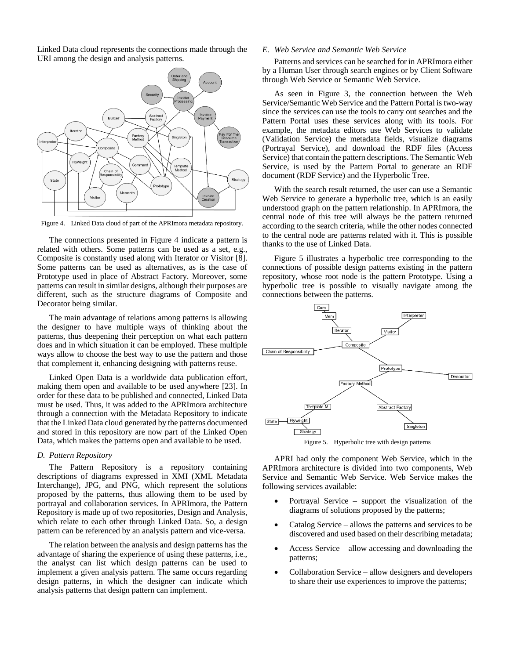Linked Data cloud represents the connections made through the URI among the design and analysis patterns.



Figure 4. Linked Data cloud of part of the APRImora metadata repository.

The connections presented in Figure 4 indicate a pattern is related with others. Some patterns can be used as a set, e.g., Composite is constantly used along with Iterator or Visitor [8]. Some patterns can be used as alternatives, as is the case of Prototype used in place of Abstract Factory. Moreover, some patterns can result in similar designs, although their purposes are different, such as the structure diagrams of Composite and Decorator being similar.

The main advantage of relations among patterns is allowing the designer to have multiple ways of thinking about the patterns, thus deepening their perception on what each pattern does and in which situation it can be employed. These multiple ways allow to choose the best way to use the pattern and those that complement it, enhancing designing with patterns reuse.

Linked Open Data is a worldwide data publication effort, making them open and available to be used anywhere [23]. In order for these data to be published and connected, Linked Data must be used. Thus, it was added to the APRImora architecture through a connection with the Metadata Repository to indicate that the Linked Data cloud generated by the patterns documented and stored in this repository are now part of the Linked Open Data, which makes the patterns open and available to be used.

#### *D. Pattern Repository*

The Pattern Repository is a repository containing descriptions of diagrams expressed in XMI (XML Metadata Interchange), JPG, and PNG, which represent the solutions proposed by the patterns, thus allowing them to be used by portrayal and collaboration services. In APRImora, the Pattern Repository is made up of two repositories, Design and Analysis, which relate to each other through Linked Data. So, a design pattern can be referenced by an analysis pattern and vice-versa.

The relation between the analysis and design patterns has the advantage of sharing the experience of using these patterns, i.e., the analyst can list which design patterns can be used to implement a given analysis pattern. The same occurs regarding design patterns, in which the designer can indicate which analysis patterns that design pattern can implement.

## *E. Web Service and Semantic Web Service*

Patterns and services can be searched for in APRImora either by a Human User through search engines or by Client Software through Web Service or Semantic Web Service.

As seen in Figure 3, the connection between the Web Service/Semantic Web Service and the Pattern Portal is two-way since the services can use the tools to carry out searches and the Pattern Portal uses these services along with its tools. For example, the metadata editors use Web Services to validate (Validation Service) the metadata fields, visualize diagrams (Portrayal Service), and download the RDF files (Access Service) that contain the pattern descriptions. The Semantic Web Service, is used by the Pattern Portal to generate an RDF document (RDF Service) and the Hyperbolic Tree.

With the search result returned, the user can use a Semantic Web Service to generate a hyperbolic tree, which is an easily understood graph on the pattern relationship. In APRImora, the central node of this tree will always be the pattern returned according to the search criteria, while the other nodes connected to the central node are patterns related with it. This is possible thanks to the use of Linked Data.

Figure 5 illustrates a hyperbolic tree corresponding to the connections of possible design patterns existing in the pattern repository, whose root node is the pattern Prototype. Using a hyperbolic tree is possible to visually navigate among the connections between the patterns.



Figure 5. Hyperbolic tree with design patterns

APRI had only the component Web Service, which in the APRImora architecture is divided into two components, Web Service and Semantic Web Service. Web Service makes the following services available:

- Portrayal Service support the visualization of the diagrams of solutions proposed by the patterns;
- Catalog Service allows the patterns and services to be discovered and used based on their describing metadata;
- Access Service allow accessing and downloading the patterns;
- Collaboration Service allow designers and developers to share their use experiences to improve the patterns;